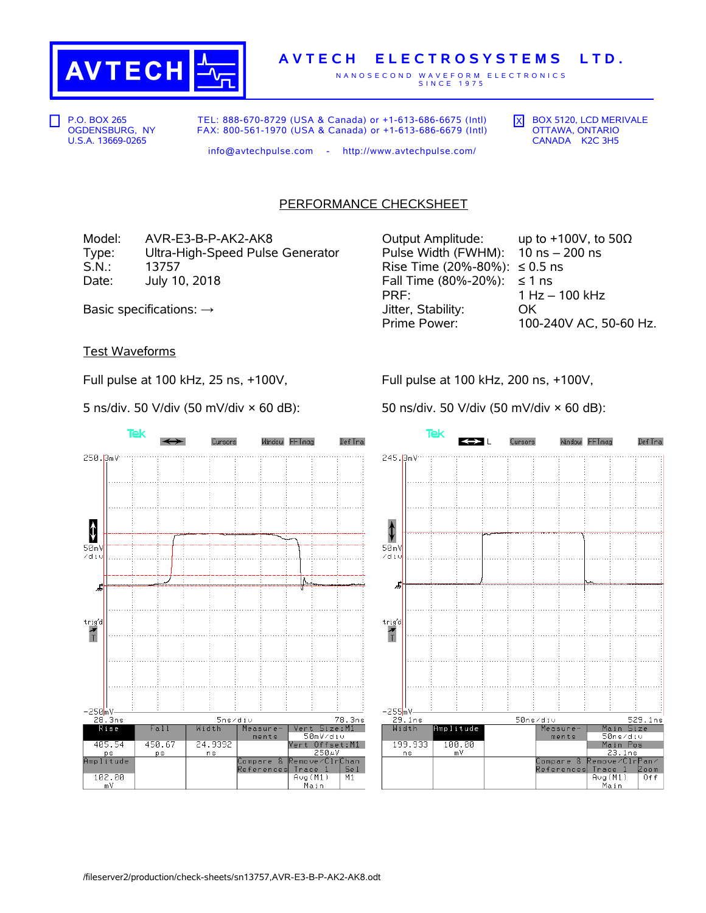

## **A V T E C H E L E C T R O S Y S T E M S L T D .**

N A N O S E C O N D W A V E F O R M E L E C T R O N I C S S I N C E 1975

P.O. BOX 265 OGDENSBURG, NY U.S.A. 13669-0265

TEL: 888-670-8729 (USA & Canada) or +1-613-686-6675 (Intl) FAX: 800-561-1970 (USA & Canada) or +1-613-686-6679 (Intl)  $\overline{X}$  BOX 5120, LCD MERIVALE OTTAWA, ONTARIO CANADA K2C 3H5

info@avtechpulse.com - http://www.avtechpulse.com/

PERFORMANCE CHECKSHEET

Model: AVR-E3-B-P-AK2-AK8 Output Amplitude: up to +100V, to 50Ω Type: Ultra-High-Speed Pulse Generator Pulse Width (FWHM): 10 ns – 200 ns S.N.: 13757 Rise Time (20%-80%): ≤ 0.5 ns Date: July 10, 2018  $\blacksquare$  Fall Time (80%-20%): ≤ 1 ns

PRF: 1 Hz – 100 kHz Basic specifications: →  $\longrightarrow$  Jitter, Stability: OK Prime Power: 100-240V AC, 50-60 Hz.

## Test Waveforms

Full pulse at 100 kHz, 25 ns, +100V,

5 ns/div. 50 V/div (50 mV/div × 60 dB):

Tek Cursors Window FFTmag Def Tra 250.3mV  $\color{red} \color{black} \pmb{\downarrow}$  $50mV$ zdiu J, trig'd  $\frac{1}{T}$ -250<mark>mV-</mark> 5ns/div 78.3ns 28.3ns  $R$ ise Fall Width Vert Size: M1 Measure 50mV/div  $ments$ 450.67 Vert Offset:M1 405.54 24.9392 **ps** ns 250.uV ps<br>Amplitude Compare &<br>References emove/ClrChan  $Trac{e}{\text{Avg}(M1)}$ Se 1 102.00  $M1$ Main  $mV$ 

Full pulse at 100 kHz, 200 ns, +100V,

50 ns/div. 50 V/div (50 mV/div × 60 dB):